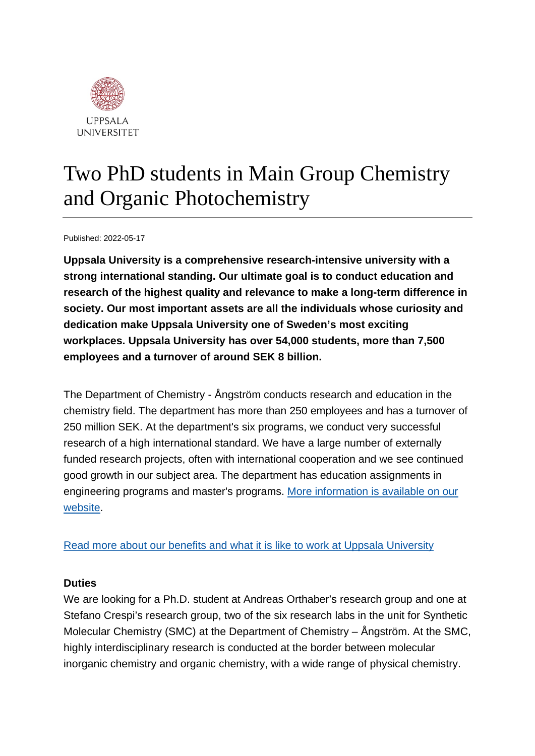

# Two PhD students in Main Group Chemistry and Organic Photochemistry

Published: 2022-05-17

**Uppsala University is a comprehensive research-intensive university with a strong international standing. Our ultimate goal is to conduct education and research of the highest quality and relevance to make a long-term difference in society. Our most important assets are all the individuals whose curiosity and dedication make Uppsala University one of Sweden's most exciting workplaces. Uppsala University has over 54,000 students, more than 7,500 employees and a turnover of around SEK 8 billion.**

The Department of Chemistry - Ångström conducts research and education in the chemistry field. The department has more than 250 employees and has a turnover of 250 million SEK. At the department's six programs, we conduct very successful research of a high international standard. We have a large number of externally funded research projects, often with international cooperation and we see continued good growth in our subject area. The department has education assignments in engineering programs and master's programs. [More information is available on our](https://kemi.uu.se/angstrom/?languageId=1)  [website.](https://kemi.uu.se/angstrom/?languageId=1)

[Read more about our benefits and what it is like to work at Uppsala University](https://www.uu.se/en/about-uu/join-us/)

### **Duties**

We are looking for a Ph.D. student at Andreas Orthaber's research group and one at Stefano Crespi's research group, two of the six research labs in the unit for Synthetic Molecular Chemistry (SMC) at the Department of Chemistry – Ångström. At the SMC, highly interdisciplinary research is conducted at the border between molecular inorganic chemistry and organic chemistry, with a wide range of physical chemistry.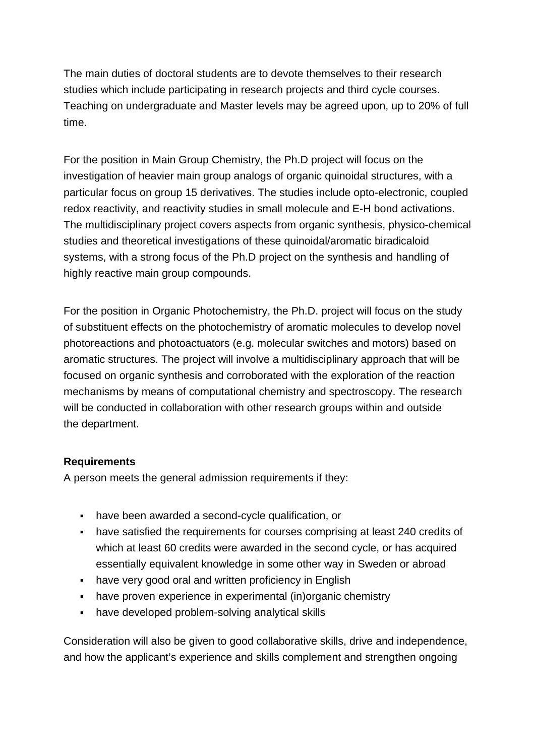The main duties of doctoral students are to devote themselves to their research studies which include participating in research projects and third cycle courses. Teaching on undergraduate and Master levels may be agreed upon, up to 20% of full time.

For the position in Main Group Chemistry, the Ph.D project will focus on the investigation of heavier main group analogs of organic quinoidal structures, with a particular focus on group 15 derivatives. The studies include opto-electronic, coupled redox reactivity, and reactivity studies in small molecule and E-H bond activations. The multidisciplinary project covers aspects from organic synthesis, physico-chemical studies and theoretical investigations of these quinoidal/aromatic biradicaloid systems, with a strong focus of the Ph.D project on the synthesis and handling of highly reactive main group compounds.

For the position in Organic Photochemistry, the Ph.D. project will focus on the study of substituent effects on the photochemistry of aromatic molecules to develop novel photoreactions and photoactuators (e.g. molecular switches and motors) based on aromatic structures. The project will involve a multidisciplinary approach that will be focused on organic synthesis and corroborated with the exploration of the reaction mechanisms by means of computational chemistry and spectroscopy. The research will be conducted in collaboration with other research groups within and outside the department.

### **Requirements**

A person meets the general admission requirements if they:

- have been awarded a second-cycle qualification, or
- have satisfied the requirements for courses comprising at least 240 credits of which at least 60 credits were awarded in the second cycle, or has acquired essentially equivalent knowledge in some other way in Sweden or abroad
- have very good oral and written proficiency in English
- have proven experience in experimental (in)organic chemistry
- have developed problem-solving analytical skills

Consideration will also be given to good collaborative skills, drive and independence, and how the applicant's experience and skills complement and strengthen ongoing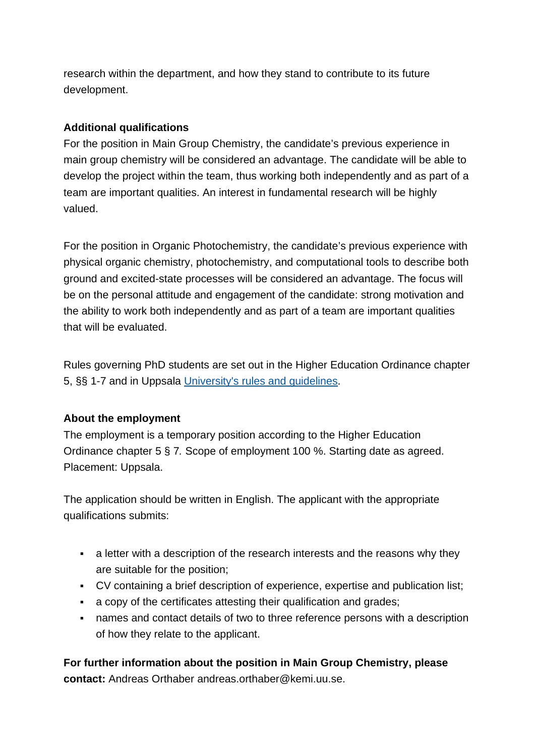research within the department, and how they stand to contribute to its future development.

## **Additional qualifications**

For the position in Main Group Chemistry, the candidate's previous experience in main group chemistry will be considered an advantage. The candidate will be able to develop the project within the team, thus working both independently and as part of a team are important qualities. An interest in fundamental research will be highly valued.

For the position in Organic Photochemistry, the candidate's previous experience with physical organic chemistry, photochemistry, and computational tools to describe both ground and excited-state processes will be considered an advantage. The focus will be on the personal attitude and engagement of the candidate: strong motivation and the ability to work both independently and as part of a team are important qualities that will be evaluated.

Rules governing PhD students are set out in the Higher Education Ordinance chapter 5, §§ 1-7 and in Uppsala [University's rules and guidelines.](https://regler.uu.se/?languageId=1)

## **About the employment**

The employment is a temporary position according to the Higher Education Ordinance chapter 5 § 7*.* Scope of employment 100 %. Starting date as agreed. Placement: Uppsala.

The application should be written in English. The applicant with the appropriate qualifications submits:

- a letter with a description of the research interests and the reasons why they are suitable for the position;
- CV containing a brief description of experience, expertise and publication list;
- a copy of the certificates attesting their qualification and grades;
- names and contact details of two to three reference persons with a description of how they relate to the applicant.

**For further information about the position in Main Group Chemistry, please contact:** Andreas Orthaber andreas.orthaber@kemi.uu.se.